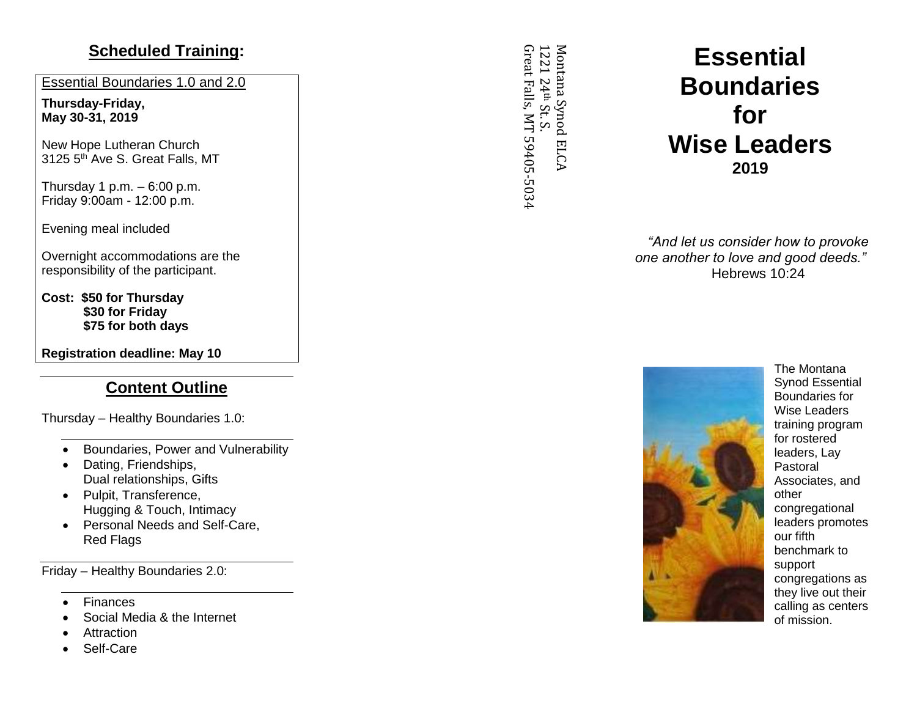### **Scheduled Training :**

#### Essential Boundaries 1.0 and 2.0

**Thursday -Friday, May 3 0 -31, 2019**

New Hope Lutheran Church 3125 5<sup>th</sup> Ave S. Great Falls, MT

Thursday 1 p.m. – 6:00 p.m. Friday 9:00am - 12:00 p.m.

Evening meal included

Overnight accommodations are the responsibility of the participant .

**Cost: \$50 for Thursday \$30 for Friday \$75 for both days**

**Registration deadline: May 1 0**

### **Content Outline**

Thursday – Healthy Boundaries 1.0 :

- Boundaries, Power and Vulnerability
- Dating, Friendships, Dual relationships, Gifts
- Pulpit, Transference. Hugging & Touch, Intimacy
- Personal Needs and Self -Care, Red Flags

Friday – Healthy Boundaries 2 . 0 :

- **Finances**
- Social Media & the Internet
- **Attraction**
- Self-Care

Great Falls, MT 59405-5034 Great Falls, MT 59405-50341221 24 Montana Synod ELCA th St. S.

# **Essential Boundaries for Wise Leaders 201 9**

*"And let us consider how to provoke one another to love and good deeds."*  Hebrews 10:24



The Montana Synod Essential Boundaries for Wise Leaders training program for rostered leaders, Lay Pastoral Associates, and other congregational leaders promotes our fifth benchmark to support congregations as they live out their calling as centers of mission.